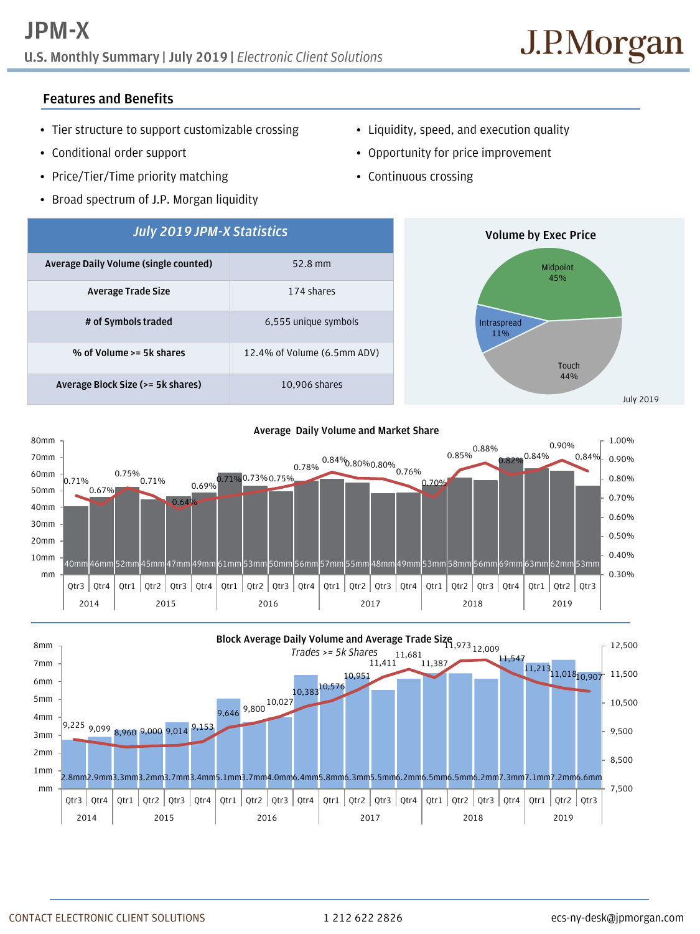## **U.S. Monthly Summary | July 2019 |** *Electronic Client Solutions*

## **Features and Benefits**

- Tier structure to support customizable crossing
- Conditional order support
- Price/Tier/Time priority matching
- Broad spectrum of J.P. Morgan liquidity
- Liquidity, speed, and execution quality
- Opportunity for price improvement
- Continuous crossing